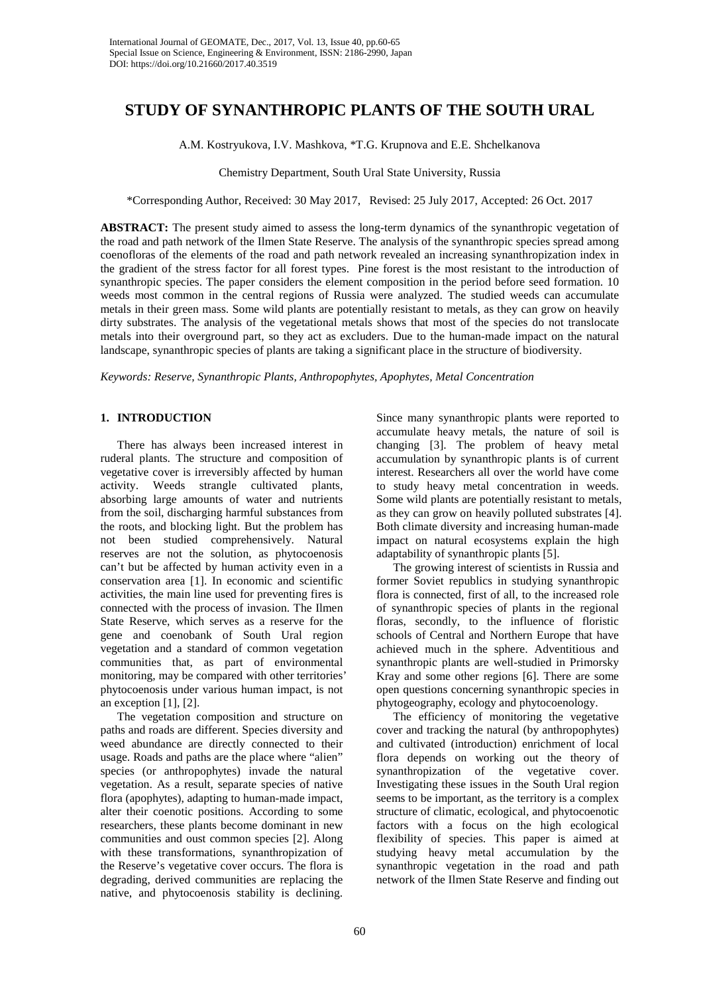# **STUDY OF SYNANTHROPIC PLANTS OF THE SOUTH URAL**

A.M. Kostryukova, I.V. Mashkova, \*T.G. Krupnova and E.E. Shchelkanova

Chemistry Department, South Ural State University, Russia

\*Corresponding Author, Received: 30 May 2017, Revised: 25 July 2017, Accepted: 26 Oct. 2017

**ABSTRACT:** The present study aimed to assess the long-term dynamics of the synanthropic vegetation of the road and path network of the Ilmen State Reserve. The analysis of the synanthropic species spread among coenofloras of the elements of the road and path network revealed an increasing synanthropization index in the gradient of the stress factor for all forest types. Pine forest is the most resistant to the introduction of synanthropic species. The paper considers the element composition in the period before seed formation. 10 weeds most common in the central regions of Russia were analyzed. The studied weeds can accumulate metals in their green mass. Some wild plants are potentially resistant to metals, as they can grow on heavily dirty substrates. The analysis of the vegetational metals shows that most of the species do not translocate metals into their overground part, so they act as excluders. Due to the human-made impact on the natural landscape, synanthropic species of plants are taking a significant place in the structure of biodiversity.

*Keywords: Reserve, Synanthropic Plants, Anthropophytes, Apophytes, Metal Concentration*

## **1. INTRODUCTION**

There has always been increased interest in ruderal plants. The structure and composition of vegetative cover is irreversibly affected by human activity. Weeds strangle cultivated plants, absorbing large amounts of water and nutrients from the soil, discharging harmful substances from the roots, and blocking light. But the problem has not been studied comprehensively. Natural reserves are not the solution, as phytocoenosis can't but be affected by human activity even in a conservation area [1]. In economic and scientific activities, the main line used for preventing fires is connected with the process of invasion. The Ilmen State Reserve, which serves as a reserve for the gene and coenobank of South Ural region vegetation and a standard of common vegetation communities that, as part of environmental monitoring, may be compared with other territories' phytocoenosis under various human impact, is not an exception  $[1]$ ,  $[2]$ .

The vegetation composition and structure on paths and roads are different. Species diversity and weed abundance are directly connected to their usage. Roads and paths are the place where "alien" species (or anthropophytes) invade the natural vegetation. As a result, separate species of native flora (apophytes), adapting to human-made impact, alter their coenotic positions. According to some researchers, these plants become dominant in new communities and oust common species [2]. Along with these transformations, synanthropization of the Reserve's vegetative cover occurs. The flora is degrading, derived communities are replacing the native, and phytocoenosis stability is declining.

Since many synanthropic plants were reported to accumulate heavy metals, the nature of soil is changing [3]. The problem of heavy metal accumulation by synanthropic plants is of current interest. Researchers all over the world have come to study heavy metal concentration in weeds. Some wild plants are potentially resistant to metals, as they can grow on heavily polluted substrates [4]. Both climate diversity and increasing human-made impact on natural ecosystems explain the high adaptability of synanthropic plants [5].

The growing interest of scientists in Russia and former Soviet republics in studying synanthropic flora is connected, first of all, to the increased role of synanthropic species of plants in the regional floras, secondly, to the influence of floristic schools of Central and Northern Europe that have achieved much in the sphere. Adventitious and synanthropic plants are well-studied in Primorsky Kray and some other regions [6]. There are some open questions concerning synanthropic species in phytogeography, ecology and phytocoenology.

The efficiency of monitoring the vegetative cover and tracking the natural (by anthropophytes) and cultivated (introduction) enrichment of local flora depends on working out the theory of synanthropization of the vegetative cover. Investigating these issues in the South Ural region seems to be important, as the territory is a complex structure of climatic, ecological, and phytocoenotic factors with a focus on the high ecological flexibility of species. This paper is aimed at studying heavy metal accumulation by the synanthropic vegetation in the road and path network of the Ilmen State Reserve and finding out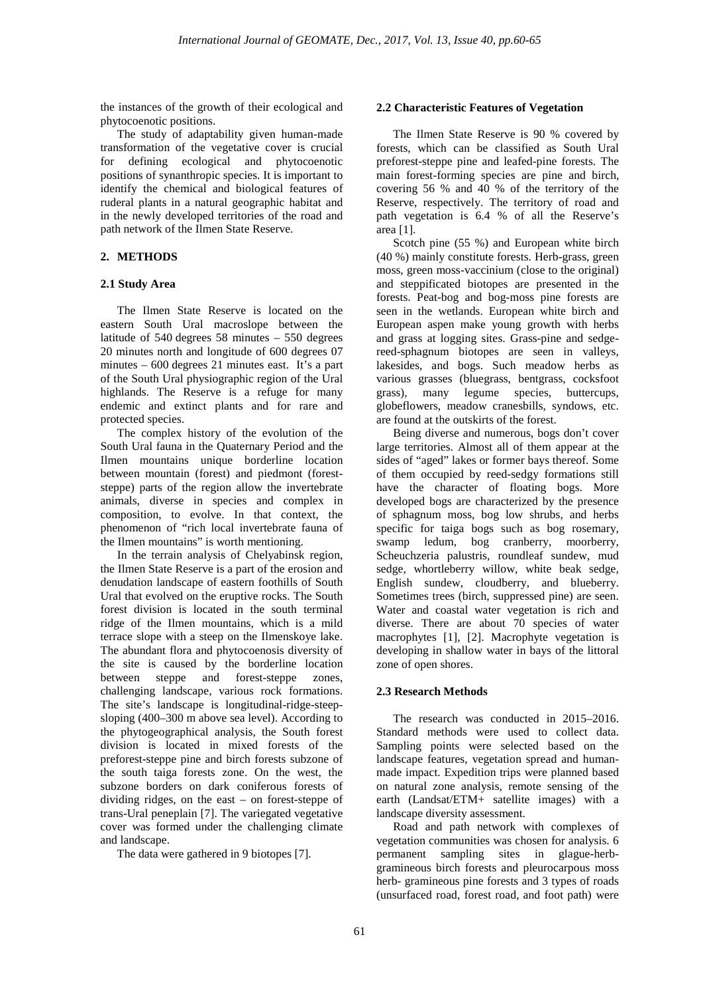the instances of the growth of their ecological and phytocoenotic positions.

The study of adaptability given human-made transformation of the vegetative cover is crucial for defining ecological and phytocoenotic positions of synanthropic species. It is important to identify the chemical and biological features of ruderal plants in a natural geographic habitat and in the newly developed territories of the road and path network of the Ilmen State Reserve.

## **2. METHODS**

### **2.1 Study Area**

The Ilmen State Reserve is located on the eastern South Ural macroslope between the latitude of 540 degrees 58 minutes – 550 degrees 20 minutes north and longitude of 600 degrees 07 minutes – 600 degrees 21 minutes east. It's a part of the South Ural physiographic region of the Ural highlands. The Reserve is a refuge for many endemic and extinct plants and for rare and protected species.

The complex history of the evolution of the South Ural fauna in the Quaternary Period and the Ilmen mountains unique borderline location between mountain (forest) and piedmont (foreststeppe) parts of the region allow the invertebrate animals, diverse in species and complex in composition, to evolve. In that context, the phenomenon of "rich local invertebrate fauna of the Ilmen mountains" is worth mentioning.

In the terrain analysis of Chelyabinsk region, the Ilmen State Reserve is a part of the erosion and denudation landscape of eastern foothills of South Ural that evolved on the eruptive rocks. The South forest division is located in the south terminal ridge of the Ilmen mountains, which is a mild terrace slope with a steep on the Ilmenskoye lake. The abundant flora and phytocoenosis diversity of the site is caused by the borderline location between steppe and forest-steppe zones, challenging landscape, various rock formations. The site's landscape is longitudinal-ridge-steepsloping (400–300 m above sea level). According to the phytogeographical analysis, the South forest division is located in mixed forests of the preforest-steppe pine and birch forests subzone of the south taiga forests zone. On the west, the subzone borders on dark coniferous forests of dividing ridges, on the east – on forest-steppe of trans-Ural peneplain [7]. The variegated vegetative cover was formed under the challenging climate and landscape.

The data were gathered in 9 biotopes [7].

#### **2.2 Characteristic Features of Vegetation**

The Ilmen State Reserve is 90 % covered by forests, which can be classified as South Ural preforest-steppe pine and leafed-pine forests. The main forest-forming species are pine and birch, covering 56 % and 40 % of the territory of the Reserve, respectively. The territory of road and path vegetation is 6.4 % of all the Reserve's area [1].

Scotch pine (55 %) and European white birch (40 %) mainly constitute forests. Herb-grass, green moss, green moss-vaccinium (close to the original) and steppificated biotopes are presented in the forests. Peat-bog and bog-moss pine forests are seen in the wetlands. European white birch and European aspen make young growth with herbs and grass at logging sites. Grass-pine and sedgereed-sphagnum biotopes are seen in valleys, lakesides, and bogs. Such meadow herbs as various grasses (bluegrass, bentgrass, cocksfoot grass), many legume species, buttercups, globeflowers, meadow cranesbills, syndows, etc. are found at the outskirts of the forest.

Being diverse and numerous, bogs don't cover large territories. Almost all of them appear at the sides of "aged" lakes or former bays thereof. Some of them occupied by reed-sedgy formations still have the character of floating bogs. More developed bogs are characterized by the presence of sphagnum moss, bog low shrubs, and herbs specific for taiga bogs such as bog rosemary, swamp ledum, bog cranberry, moorberry, Scheuchzeria palustris, roundleaf sundew, mud sedge, whortleberry willow, white beak sedge, English sundew, cloudberry, and blueberry. Sometimes trees (birch, suppressed pine) are seen. Water and coastal water vegetation is rich and diverse. There are about 70 species of water macrophytes [1], [2]. Macrophyte vegetation is developing in shallow water in bays of the littoral zone of open shores.

## **2.3 Research Methods**

The research was conducted in 2015–2016. Standard methods were used to collect data. Sampling points were selected based on the landscape features, vegetation spread and humanmade impact. Expedition trips were planned based on natural zone analysis, remote sensing of the earth (Landsat/ETM+ satellite images) with a landscape diversity assessment.

Road and path network with complexes of vegetation communities was chosen for analysis. 6 permanent sampling sites in glague-herbgramineous birch forests and pleurocarpous moss herb- gramineous pine forests and 3 types of roads (unsurfaced road, forest road, and foot path) were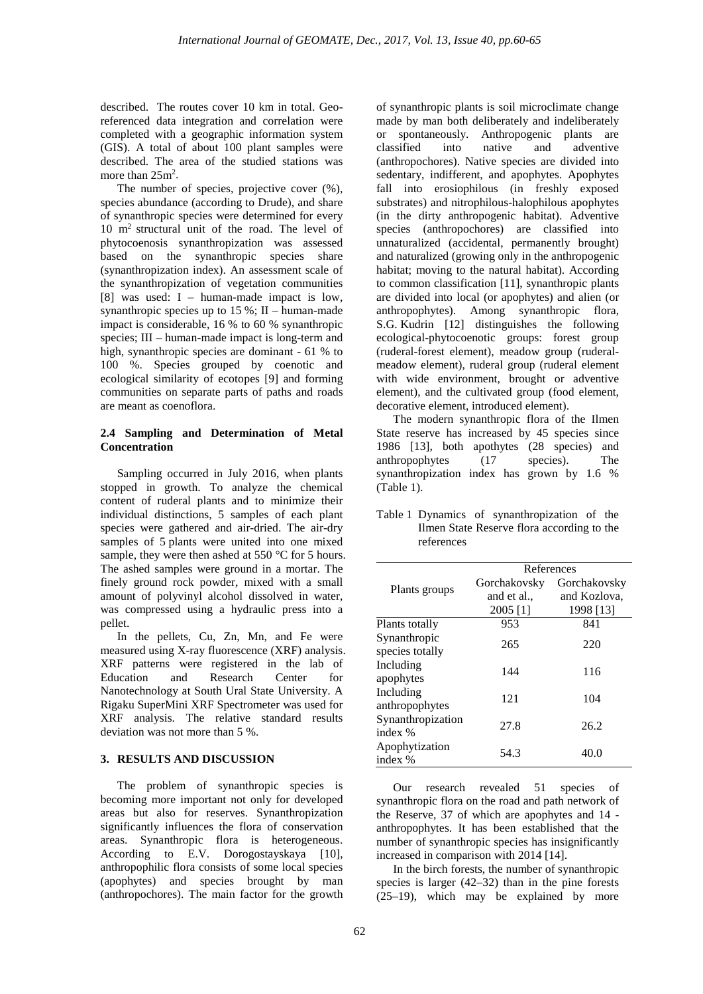described. The routes cover 10 km in total. Georeferenced data integration and correlation were completed with a geographic information system (GIS). A total of about 100 plant samples were described. The area of the studied stations was more than  $25m^2$ .

The number of species, projective cover (%), species abundance (according to Drude), and share of synanthropic species were determined for every 10 m2 structural unit of the road. The level of phytocoenosis synanthropization was assessed based on the synanthropic species share (synanthropization index). An assessment scale of the synanthropization of vegetation communities [8] was used: I – human-made impact is low, synanthropic species up to  $15\%$ ; II – human-made impact is considerable, 16 % to 60 % synanthropic species; III – human-made impact is long-term and high, synanthropic species are dominant - 61 % to 100 %. Species grouped by coenotic and ecological similarity of ecotopes [9] and forming communities on separate parts of paths and roads are meant as coenoflora.

#### **2.4 Sampling and Determination of Metal Concentration**

Sampling occurred in July 2016, when plants stopped in growth. To analyze the chemical content of ruderal plants and to minimize their individual distinctions, 5 samples of each plant species were gathered and air-dried. The air-dry samples of 5 plants were united into one mixed sample, they were then ashed at 550  $\,^{\circ}$ C for 5 hours. The ashed samples were ground in a mortar. The finely ground rock powder, mixed with a small amount of polyvinyl alcohol dissolved in water, was compressed using a hydraulic press into a pellet.

In the pellets, Cu, Zn, Mn, and Fe were measured using X-ray fluorescence (XRF) analysis. XRF patterns were registered in the lab of Education and Research Center for Nanotechnology at South Ural State University. A Rigaku SuperMini XRF Spectrometer was used for XRF analysis. The relative standard results deviation was not more than 5 %.

#### **3. RESULTS AND DISCUSSION**

The problem of synanthropic species is becoming more important not only for developed areas but also for reserves. Synanthropization significantly influences the flora of conservation areas. Synanthropic flora is heterogeneous. According to E.V. Dorogostayskaya [10], anthropophilic flora consists of some local species (apophytes) and species brought by man (anthropochores). The main factor for the growth

of synanthropic plants is soil microclimate change made by man both deliberately and indeliberately or spontaneously. Anthropogenic plants are classified into native and adventive adventive (anthropochores). Native species are divided into sedentary, indifferent, and apophytes. Apophytes fall into erosiophilous (in freshly exposed substrates) and nitrophilous-halophilous apophytes (in the dirty anthropogenic habitat). Adventive species (anthropochores) are classified into unnaturalized (accidental, permanently brought) and naturalized (growing only in the anthropogenic habitat; moving to the natural habitat). According to common classification [11], synanthropic plants are divided into local (or apophytes) and alien (or anthropophytes). Among synanthropic flora, S.G. Kudrin [12] distinguishes the following ecological-phytocoenotic groups: forest group (ruderal-forest element), meadow group (ruderalmeadow element), ruderal group (ruderal element with wide environment, brought or adventive element), and the cultivated group (food element, decorative element, introduced element).

The modern synanthropic flora of the Ilmen State reserve has increased by 45 species since 1986 [13], both apothytes (28 species) and anthropophytes (17 species). The synanthropization index has grown by 1.6 % (Table 1).

|                                 | References                              |                                           |  |  |
|---------------------------------|-----------------------------------------|-------------------------------------------|--|--|
| Plants groups                   | Gorchakovsky<br>and et al.,<br>2005 [1] | Gorchakovsky<br>and Kozlova,<br>1998 [13] |  |  |
| Plants totally                  | 953                                     | 841                                       |  |  |
| Synanthropic<br>species totally | 265                                     | 220                                       |  |  |
| Including<br>apophytes          | 144                                     | 116                                       |  |  |
| Including<br>anthropophytes     | 121                                     | 104                                       |  |  |
| Synanthropization<br>index %    | 27.8                                    | 26.2                                      |  |  |
| Apophytization<br>index %       | 54.3                                    | 40.0                                      |  |  |

Table 1 Dynamics of synanthropization of the Ilmen State Reserve flora according to the references

Our research revealed 51 species of synanthropic flora on the road and path network of the Reserve, 37 of which are apophytes and 14 anthropophytes. It has been established that the number of synanthropic species has insignificantly increased in comparison with 2014 [14].

In the birch forests, the number of synanthropic species is larger (42–32) than in the pine forests (25–19), which may be explained by more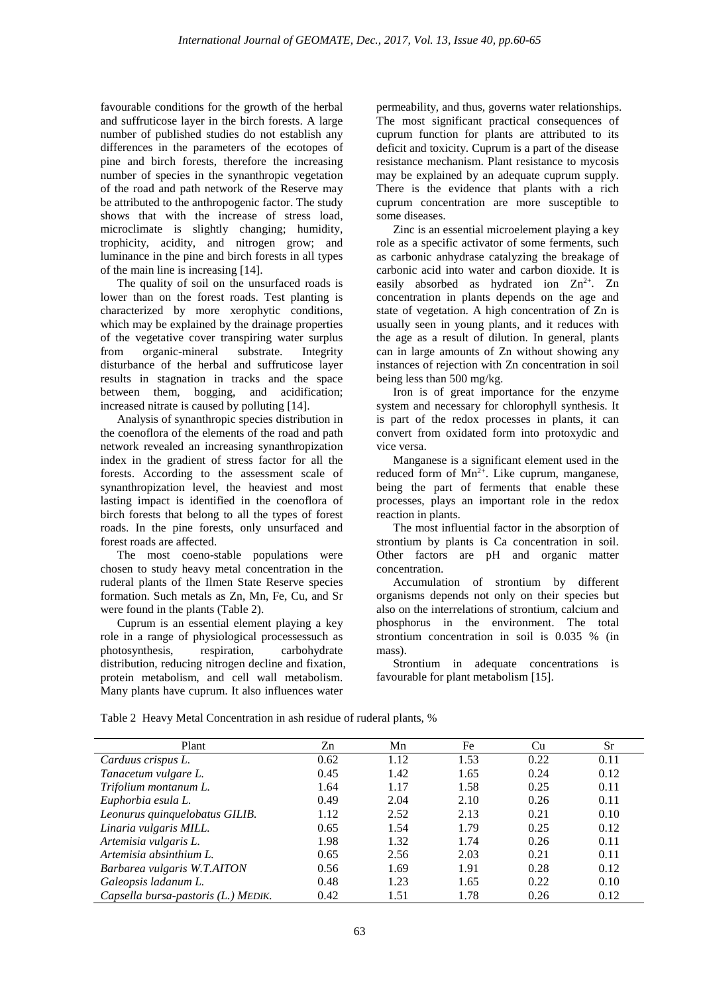favourable conditions for the growth of the herbal and suffruticose layer in the birch forests. A large number of published studies do not establish any differences in the parameters of the ecotopes of pine and birch forests, therefore the increasing number of species in the synanthropic vegetation of the road and path network of the Reserve may be attributed to the anthropogenic factor. The study shows that with the increase of stress load, microclimate is slightly changing; humidity, trophicity, acidity, and nitrogen grow; and luminance in the pine and birch forests in all types of the main line is increasing [14].

The quality of soil on the unsurfaced roads is lower than on the forest roads. Test planting is characterized by more xerophytic conditions, which may be explained by the drainage properties of the vegetative cover transpiring water surplus from organic-mineral substrate. Integrity disturbance of the herbal and suffruticose layer results in stagnation in tracks and the space between them, bogging, and acidification; increased nitrate is caused by polluting [14].

Analysis of synanthropic species distribution in the coenoflora of the elements of the road and path network revealed an increasing synanthropization index in the gradient of stress factor for all the forests. According to the assessment scale of synanthropization level, the heaviest and most lasting impact is identified in the coenoflora of birch forests that belong to all the types of forest roads. In the pine forests, only unsurfaced and forest roads are affected.

The most coeno-stable populations were chosen to study heavy metal concentration in the ruderal plants of the Ilmen State Reserve species formation. Such metals as Zn, Mn, Fe, Cu, and Sr were found in the plants (Table 2).

Cuprum is an essential element playing a key role in a range of physiological processessuch as photosynthesis, respiration, carbohydrate distribution, reducing nitrogen decline and fixation, protein metabolism, and cell wall metabolism. Many plants have cuprum. It also influences water

permeability, and thus, governs water relationships. The most significant practical consequences of cuprum function for plants are attributed to its deficit and toxicity. Cuprum is a part of the disease resistance mechanism. Plant resistance to mycosis may be explained by an adequate cuprum supply. There is the evidence that plants with a rich cuprum concentration are more susceptible to some diseases.

Zinc is an essential microelement playing a key role as a specific activator of some ferments, such as carbonic anhydrase catalyzing the breakage of carbonic acid into water and carbon dioxide. It is easily absorbed as hydrated ion  $Zn^{2+}$ . Zn concentration in plants depends on the age and state of vegetation. A high concentration of Zn is usually seen in young plants, and it reduces with the age as a result of dilution. In general, plants can in large amounts of Zn without showing any instances of rejection with Zn concentration in soil being less than 500 mg/kg.

Iron is of great importance for the enzyme system and necessary for chlorophyll synthesis. It is part of the redox processes in plants, it can convert from oxidated form into protoxydic and vice versa.

Manganese is a significant element used in the reduced form of  $Mn^{2+}$ . Like cuprum, manganese, being the part of ferments that enable these processes, plays an important role in the redox reaction in plants.

The most influential factor in the absorption of strontium by plants is Ca concentration in soil. Other factors are pH and organic matter concentration.

Accumulation of strontium by different organisms depends not only on their species but also on the interrelations of strontium, calcium and phosphorus in the environment. The total strontium concentration in soil is 0.035 % (in mass).

Strontium in adequate concentrations is favourable for plant metabolism [15].

| Plant                               | Zn   | Mn   | Fe   | Cu   | Sr   |
|-------------------------------------|------|------|------|------|------|
| Carduus crispus L.                  | 0.62 | 1.12 | 1.53 | 0.22 | 0.11 |
| Tanacetum vulgare L.                | 0.45 | 1.42 | 1.65 | 0.24 | 0.12 |
| Trifolium montanum L.               | 1.64 | 1.17 | 1.58 | 0.25 | 0.11 |
| Euphorbia esula L.                  | 0.49 | 2.04 | 2.10 | 0.26 | 0.11 |
| Leonurus quinquelobatus GILIB.      | 1.12 | 2.52 | 2.13 | 0.21 | 0.10 |
| Linaria vulgaris MILL.              | 0.65 | 1.54 | 1.79 | 0.25 | 0.12 |
| Artemisia vulgaris L.               | 1.98 | 1.32 | 1.74 | 0.26 | 0.11 |
| Artemisia absinthium L.             | 0.65 | 2.56 | 2.03 | 0.21 | 0.11 |
| Barbarea vulgaris W.T.AITON         | 0.56 | 1.69 | 1.91 | 0.28 | 0.12 |
| Galeopsis ladanum L.                | 0.48 | 1.23 | 1.65 | 0.22 | 0.10 |
| Capsella bursa-pastoris (L.) MEDIK. | 0.42 | 1.51 | 1.78 | 0.26 | 0.12 |

Table 2 Heavy Metal Concentration in ash residue of ruderal plants, %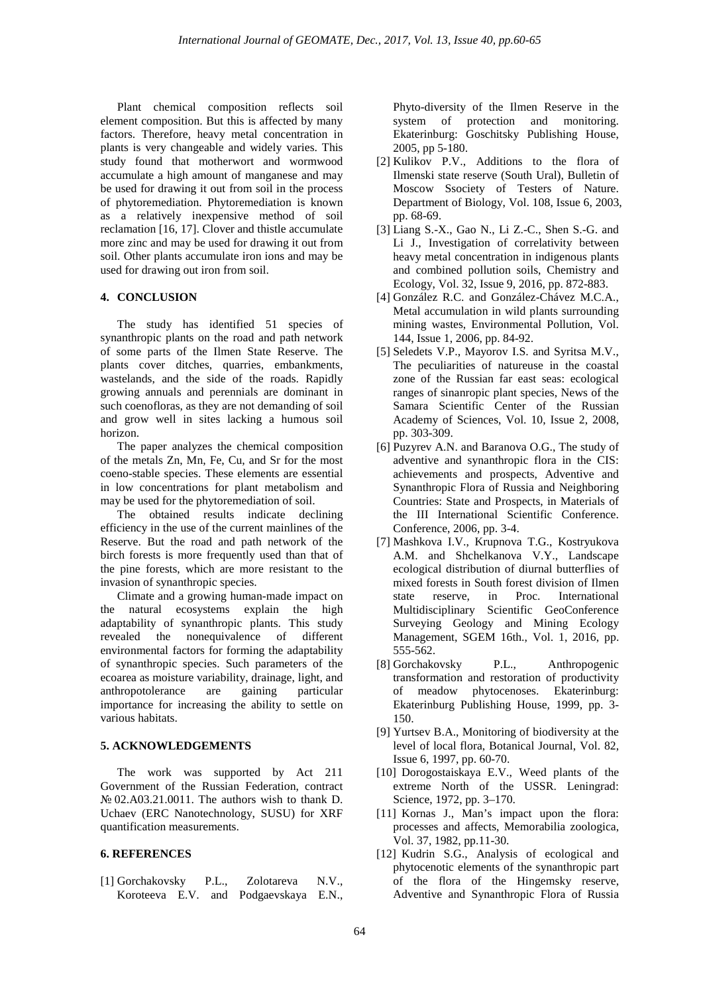Plant chemical composition reflects soil element composition. But this is affected by many factors. Therefore, heavy metal concentration in plants is very changeable and widely varies. This study found that motherwort and wormwood accumulate a high amount of manganese and may be used for drawing it out from soil in the process of phytoremediation. Phytoremediation is known as a relatively inexpensive method of soil reclamation [16, 17]. Clover and thistle accumulate more zinc and may be used for drawing it out from soil. Other plants accumulate iron ions and may be used for drawing out iron from soil.

#### **4. CONCLUSION**

The study has identified 51 species of synanthropic plants on the road and path network of some parts of the Ilmen State Reserve. The plants cover ditches, quarries, embankments, wastelands, and the side of the roads. Rapidly growing annuals and perennials are dominant in such coenofloras, as they are not demanding of soil and grow well in sites lacking a humous soil horizon.

The paper analyzes the chemical composition of the metals Zn, Mn, Fe, Cu, and Sr for the most coeno-stable species. These elements are essential in low concentrations for plant metabolism and may be used for the phytoremediation of soil.

The obtained results indicate declining efficiency in the use of the current mainlines of the Reserve. But the road and path network of the birch forests is more frequently used than that of the pine forests, which are more resistant to the invasion of synanthropic species.

Climate and a growing human-made impact on the natural ecosystems explain the high adaptability of synanthropic plants. This study revealed the nonequivalence of different environmental factors for forming the adaptability of synanthropic species. Such parameters of the ecoarea as moisture variability, drainage, light, and<br>anthropotolerance are gaining particular anthropotolerance are gaining importance for increasing the ability to settle on various habitats.

### **5. ACKNOWLEDGEMENTS**

The work was supported by Act 211 Government of the Russian Federation, contract № 02.A03.21.0011. The authors wish to thank D. Uchaev (ERC Nanotechnology, SUSU) for XRF quantification measurements.

#### **6. REFERENCES**

[1] Gorchakovsky P.L., Zolotareva N.V., Koroteeva E.V. and Podgaevskaya E.N., Phyto-diversity of the Ilmen Reserve in the system of protection and monitoring. Ekaterinburg: Goschitsky Publishing House, 2005, pp 5-180.

- [2] Kulikov P.V., Additions to the flora of Ilmenski state reserve (South Ural), Bulletin of Moscow Ssociety of Testers of Nature. Department of Biology, Vol. 108, Issue 6, 2003, pp. 68-69.
- [3] Liang S.-X., Gao N., Li Z.-C., Shen S.-G. and Li J., Investigation of correlativity between heavy metal concentration in indigenous plants and combined pollution soils, Chemistry and Ecology, Vol. 32, Issue 9, 2016, pp. 872-883.
- [4] González R.C. and González-Chávez M.C.A., Metal accumulation in wild plants surrounding mining wastes, Environmental Pollution, Vol. 144, Issue 1, 2006, pp. 84-92.
- [5] Seledets V.P., Mayorov I.S. and Syritsa M.V., The peculiarities of natureuse in the coastal zone of the Russian far east seas: ecological ranges of sinanropic plant species, News of the Samara Scientific Center of the Russian Academy of Sciences, Vol. 10, Issue 2, 2008, pp. 303-309.
- [6] Puzyrev A.N. and Baranova O.G., The study of adventive and synanthropic flora in the CIS: achievements and prospects, Adventive and Synanthropic Flora of Russia and Neighboring Countries: State and Prospects, in Materials of the III International Scientific Conference. Conference, 2006, pp. 3-4.
- [7] Mashkova I.V., Krupnova T.G., Kostryukova A.M. and Shchelkanova V.Y., Landscape ecological distribution of diurnal butterflies of mixed forests in South forest division of Ilmen state reserve, in Proc. International Multidisciplinary Scientific GeoConference Surveying Geology and Mining Ecology Management, SGEM 16th., Vol. 1, 2016, pp. 555-562.
- [8] Gorchakovsky P.L., Anthropogenic transformation and restoration of productivity of meadow phytocenoses. Ekaterinburg: Ekaterinburg Publishing House, 1999, pp. 3- 150.
- [9] Yurtsev B.A., Monitoring of biodiversity at the level of local flora, Botanical Journal, Vol. 82, Issue 6, 1997, pp. 60-70.
- [10] Dorogostaiskaya E.V., Weed plants of the extreme North of the USSR. Leningrad: Science, 1972, pp. 3–170.
- [11] Kornas J., Man's impact upon the flora: processes and affects, Memorabilia zoologica, Vol. 37, 1982, pp.11-30.
- [12] Kudrin S.G., Analysis of ecological and phytocenotic elements of the synanthropic part of the flora of the Hingemsky reserve, Adventive and Synanthropic Flora of Russia